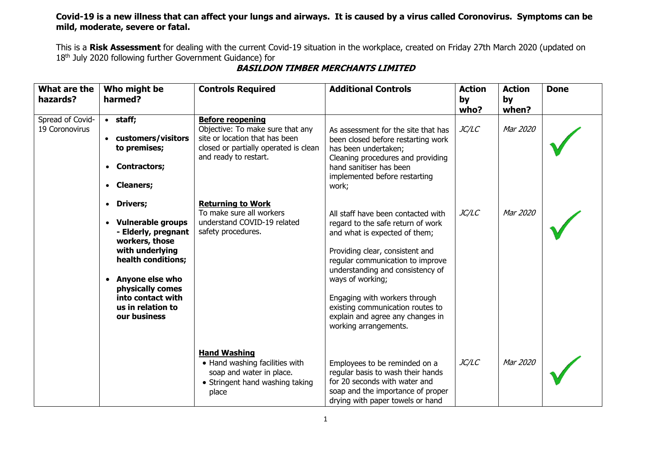## **Covid-19 is a new illness that can affect your lungs and airways. It is caused by a virus called Coronovirus. Symptoms can be mild, moderate, severe or fatal.**

This is a **Risk Assessment** for dealing with the current Covid-19 situation in the workplace, created on Friday 27th March 2020 (updated on 18<sup>th</sup> July 2020 following further Government Guidance) for

| What are the<br>hazards?           | Who might be<br>harmed?                                                                                                                                                                                                                  | <b>Controls Required</b>                                                                                                                                        | <b>Additional Controls</b>                                                                                                                                                                                                                                                                                                                                                | <b>Action</b><br>by<br>who? | <b>Action</b><br>by<br>when? | <b>Done</b> |
|------------------------------------|------------------------------------------------------------------------------------------------------------------------------------------------------------------------------------------------------------------------------------------|-----------------------------------------------------------------------------------------------------------------------------------------------------------------|---------------------------------------------------------------------------------------------------------------------------------------------------------------------------------------------------------------------------------------------------------------------------------------------------------------------------------------------------------------------------|-----------------------------|------------------------------|-------------|
| Spread of Covid-<br>19 Coronovirus | $\bullet$ staff;<br>• customers/visitors<br>to premises;<br><b>Contractors;</b><br>$\bullet$<br><b>Cleaners;</b><br>$\bullet$                                                                                                            | <b>Before reopening</b><br>Objective: To make sure that any<br>site or location that has been<br>closed or partially operated is clean<br>and ready to restart. | As assessment for the site that has<br>been closed before restarting work<br>has been undertaken;<br>Cleaning procedures and providing<br>hand sanitiser has been<br>implemented before restarting<br>work;                                                                                                                                                               | <i>JC/LC</i>                | Mar 2020                     |             |
|                                    | • Drivers;<br>• Vulnerable groups<br>- Elderly, pregnant<br>workers, those<br>with underlying<br>health conditions;<br><b>Anyone else who</b><br>$\bullet$<br>physically comes<br>into contact with<br>us in relation to<br>our business | <b>Returning to Work</b><br>To make sure all workers<br>understand COVID-19 related<br>safety procedures.                                                       | All staff have been contacted with<br>regard to the safe return of work<br>and what is expected of them;<br>Providing clear, consistent and<br>regular communication to improve<br>understanding and consistency of<br>ways of working;<br>Engaging with workers through<br>existing communication routes to<br>explain and agree any changes in<br>working arrangements. | JC/LC                       | Mar 2020                     |             |
|                                    |                                                                                                                                                                                                                                          | <b>Hand Washing</b><br>• Hand washing facilities with<br>soap and water in place.<br>• Stringent hand washing taking<br>place                                   | Employees to be reminded on a<br>regular basis to wash their hands<br>for 20 seconds with water and<br>soap and the importance of proper<br>drying with paper towels or hand                                                                                                                                                                                              | JC/LC                       | Mar 2020                     |             |

## **BASILDON TIMBER MERCHANTS LIMITED**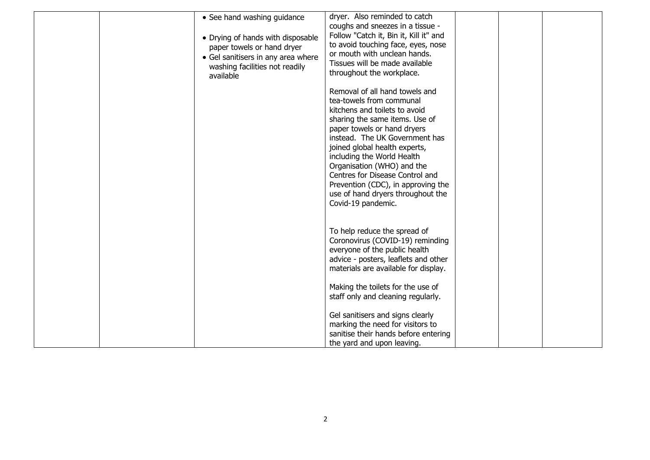| • See hand washing guidance<br>• Drying of hands with disposable<br>paper towels or hand dryer<br>• Gel sanitisers in any area where<br>washing facilities not readily<br>available | dryer. Also reminded to catch<br>coughs and sneezes in a tissue -<br>Follow "Catch it, Bin it, Kill it" and<br>to avoid touching face, eyes, nose<br>or mouth with unclean hands.<br>Tissues will be made available<br>throughout the workplace.<br>Removal of all hand towels and<br>tea-towels from communal<br>kitchens and toilets to avoid<br>sharing the same items. Use of<br>paper towels or hand dryers<br>instead. The UK Government has<br>joined global health experts,<br>including the World Health<br>Organisation (WHO) and the<br>Centres for Disease Control and<br>Prevention (CDC), in approving the<br>use of hand dryers throughout the<br>Covid-19 pandemic. |  |  |
|-------------------------------------------------------------------------------------------------------------------------------------------------------------------------------------|-------------------------------------------------------------------------------------------------------------------------------------------------------------------------------------------------------------------------------------------------------------------------------------------------------------------------------------------------------------------------------------------------------------------------------------------------------------------------------------------------------------------------------------------------------------------------------------------------------------------------------------------------------------------------------------|--|--|
|                                                                                                                                                                                     | To help reduce the spread of<br>Coronovirus (COVID-19) reminding<br>everyone of the public health<br>advice - posters, leaflets and other<br>materials are available for display.<br>Making the toilets for the use of<br>staff only and cleaning regularly.<br>Gel sanitisers and signs clearly<br>marking the need for visitors to<br>sanitise their hands before entering<br>the yard and upon leaving.                                                                                                                                                                                                                                                                          |  |  |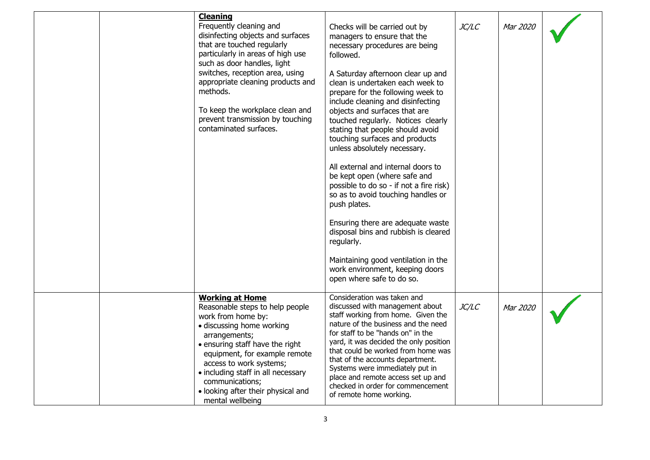|  | <b>Cleaning</b><br>Frequently cleaning and<br>disinfecting objects and surfaces<br>that are touched regularly<br>particularly in areas of high use<br>such as door handles, light<br>switches, reception area, using<br>appropriate cleaning products and<br>methods.<br>To keep the workplace clean and<br>prevent transmission by touching<br>contaminated surfaces. | Checks will be carried out by<br>managers to ensure that the<br>necessary procedures are being<br>followed.<br>A Saturday afternoon clear up and<br>clean is undertaken each week to<br>prepare for the following week to<br>include cleaning and disinfecting<br>objects and surfaces that are<br>touched regularly. Notices clearly<br>stating that people should avoid<br>touching surfaces and products<br>unless absolutely necessary.<br>All external and internal doors to<br>be kept open (where safe and<br>possible to do so - if not a fire risk)<br>so as to avoid touching handles or<br>push plates.<br>Ensuring there are adequate waste<br>disposal bins and rubbish is cleared<br>regularly.<br>Maintaining good ventilation in the<br>work environment, keeping doors<br>open where safe to do so. | JC/LC | Mar 2020 |  |
|--|------------------------------------------------------------------------------------------------------------------------------------------------------------------------------------------------------------------------------------------------------------------------------------------------------------------------------------------------------------------------|----------------------------------------------------------------------------------------------------------------------------------------------------------------------------------------------------------------------------------------------------------------------------------------------------------------------------------------------------------------------------------------------------------------------------------------------------------------------------------------------------------------------------------------------------------------------------------------------------------------------------------------------------------------------------------------------------------------------------------------------------------------------------------------------------------------------|-------|----------|--|
|  | <b>Working at Home</b><br>Reasonable steps to help people<br>work from home by:<br>· discussing home working<br>arrangements;<br>• ensuring staff have the right<br>equipment, for example remote<br>access to work systems;<br>• including staff in all necessary<br>communications;<br>• looking after their physical and<br>mental wellbeing                        | Consideration was taken and<br>discussed with management about<br>staff working from home. Given the<br>nature of the business and the need<br>for staff to be "hands on" in the<br>yard, it was decided the only position<br>that could be worked from home was<br>that of the accounts department.<br>Systems were immediately put in<br>place and remote access set up and<br>checked in order for commencement<br>of remote home working.                                                                                                                                                                                                                                                                                                                                                                        | JC/LC | Mar 2020 |  |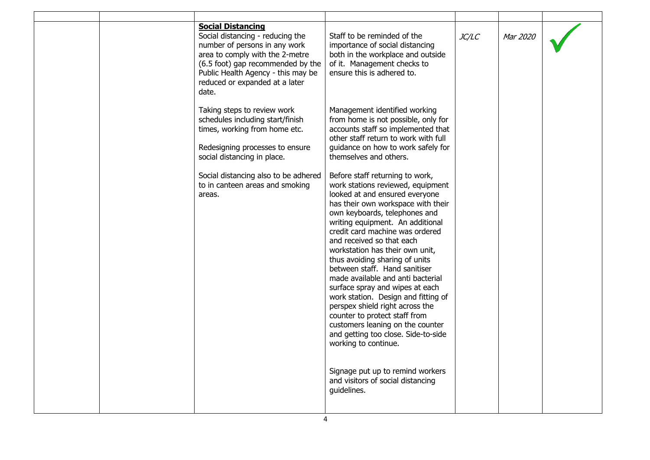| <b>Social Distancing</b><br>Social distancing - reducing the<br>number of persons in any work<br>area to comply with the 2-metre<br>(6.5 foot) gap recommended by the<br>Public Health Agency - this may be<br>reduced or expanded at a later<br>date. | Staff to be reminded of the<br>importance of social distancing<br>both in the workplace and outside<br>of it. Management checks to<br>ensure this is adhered to.                                                                                                                                                                                                                                                                                                                                                                                                                                                                                                                                                                                                      | JC/LC | Mar 2020 |  |
|--------------------------------------------------------------------------------------------------------------------------------------------------------------------------------------------------------------------------------------------------------|-----------------------------------------------------------------------------------------------------------------------------------------------------------------------------------------------------------------------------------------------------------------------------------------------------------------------------------------------------------------------------------------------------------------------------------------------------------------------------------------------------------------------------------------------------------------------------------------------------------------------------------------------------------------------------------------------------------------------------------------------------------------------|-------|----------|--|
| Taking steps to review work<br>schedules including start/finish<br>times, working from home etc.<br>Redesigning processes to ensure<br>social distancing in place.                                                                                     | Management identified working<br>from home is not possible, only for<br>accounts staff so implemented that<br>other staff return to work with full<br>guidance on how to work safely for<br>themselves and others.                                                                                                                                                                                                                                                                                                                                                                                                                                                                                                                                                    |       |          |  |
| Social distancing also to be adhered<br>to in canteen areas and smoking<br>areas.                                                                                                                                                                      | Before staff returning to work,<br>work stations reviewed, equipment<br>looked at and ensured everyone<br>has their own workspace with their<br>own keyboards, telephones and<br>writing equipment. An additional<br>credit card machine was ordered<br>and received so that each<br>workstation has their own unit,<br>thus avoiding sharing of units<br>between staff. Hand sanitiser<br>made available and anti bacterial<br>surface spray and wipes at each<br>work station. Design and fitting of<br>perspex shield right across the<br>counter to protect staff from<br>customers leaning on the counter<br>and getting too close. Side-to-side<br>working to continue.<br>Signage put up to remind workers<br>and visitors of social distancing<br>guidelines. |       |          |  |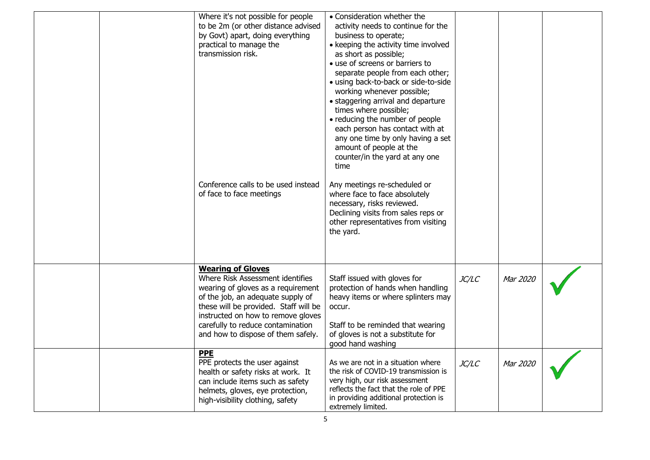|  | Where it's not possible for people<br>to be 2m (or other distance advised<br>by Govt) apart, doing everything<br>practical to manage the<br>transmission risk.<br>Conference calls to be used instead<br>of face to face meetings                                                                 | • Consideration whether the<br>activity needs to continue for the<br>business to operate;<br>• keeping the activity time involved<br>as short as possible;<br>· use of screens or barriers to<br>separate people from each other;<br>· using back-to-back or side-to-side<br>working whenever possible;<br>· staggering arrival and departure<br>times where possible;<br>• reducing the number of people<br>each person has contact with at<br>any one time by only having a set<br>amount of people at the<br>counter/in the yard at any one<br>time<br>Any meetings re-scheduled or<br>where face to face absolutely<br>necessary, risks reviewed.<br>Declining visits from sales reps or<br>other representatives from visiting<br>the yard. |       |          |  |
|--|---------------------------------------------------------------------------------------------------------------------------------------------------------------------------------------------------------------------------------------------------------------------------------------------------|--------------------------------------------------------------------------------------------------------------------------------------------------------------------------------------------------------------------------------------------------------------------------------------------------------------------------------------------------------------------------------------------------------------------------------------------------------------------------------------------------------------------------------------------------------------------------------------------------------------------------------------------------------------------------------------------------------------------------------------------------|-------|----------|--|
|  | <b>Wearing of Gloves</b><br>Where Risk Assessment identifies<br>wearing of gloves as a requirement<br>of the job, an adequate supply of<br>these will be provided. Staff will be<br>instructed on how to remove gloves<br>carefully to reduce contamination<br>and how to dispose of them safely. | Staff issued with gloves for<br>protection of hands when handling<br>heavy items or where splinters may<br>occur.<br>Staff to be reminded that wearing<br>of gloves is not a substitute for<br>good hand washing                                                                                                                                                                                                                                                                                                                                                                                                                                                                                                                                 | JC/LC | Mar 2020 |  |
|  | <b>PPE</b><br>PPE protects the user against<br>health or safety risks at work. It<br>can include items such as safety<br>helmets, gloves, eye protection,<br>high-visibility clothing, safety                                                                                                     | As we are not in a situation where<br>the risk of COVID-19 transmission is<br>very high, our risk assessment<br>reflects the fact that the role of PPE<br>in providing additional protection is<br>extremely limited.                                                                                                                                                                                                                                                                                                                                                                                                                                                                                                                            | JC/LC | Mar 2020 |  |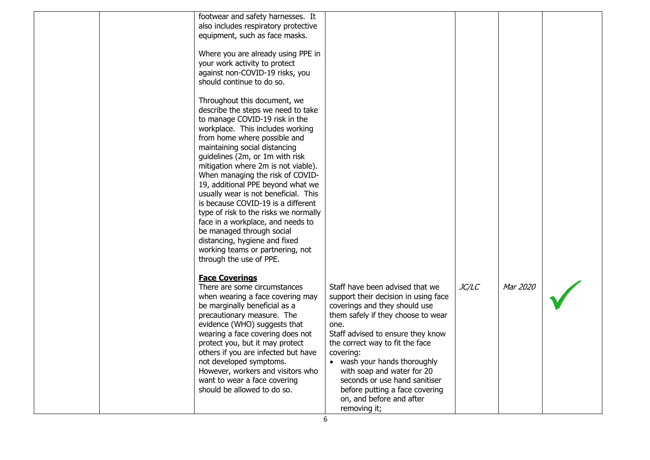| footwear and safety harnesses. It<br>also includes respiratory protective<br>equipment, such as face masks.                                                                                                                                                                                                                                                                                                                                                                                                                                                                                                                                           |                                                                                                                                                                                                                                                                                                                                                                                                                        |              |          |  |
|-------------------------------------------------------------------------------------------------------------------------------------------------------------------------------------------------------------------------------------------------------------------------------------------------------------------------------------------------------------------------------------------------------------------------------------------------------------------------------------------------------------------------------------------------------------------------------------------------------------------------------------------------------|------------------------------------------------------------------------------------------------------------------------------------------------------------------------------------------------------------------------------------------------------------------------------------------------------------------------------------------------------------------------------------------------------------------------|--------------|----------|--|
| Where you are already using PPE in<br>your work activity to protect<br>against non-COVID-19 risks, you<br>should continue to do so.                                                                                                                                                                                                                                                                                                                                                                                                                                                                                                                   |                                                                                                                                                                                                                                                                                                                                                                                                                        |              |          |  |
| Throughout this document, we<br>describe the steps we need to take<br>to manage COVID-19 risk in the<br>workplace. This includes working<br>from home where possible and<br>maintaining social distancing<br>guidelines (2m, or 1m with risk<br>mitigation where 2m is not viable).<br>When managing the risk of COVID-<br>19, additional PPE beyond what we<br>usually wear is not beneficial. This<br>is because COVID-19 is a different<br>type of risk to the risks we normally<br>face in a workplace, and needs to<br>be managed through social<br>distancing, hygiene and fixed<br>working teams or partnering, not<br>through the use of PPE. |                                                                                                                                                                                                                                                                                                                                                                                                                        |              |          |  |
| <b>Face Coverings</b><br>There are some circumstances<br>when wearing a face covering may<br>be marginally beneficial as a<br>precautionary measure. The<br>evidence (WHO) suggests that<br>wearing a face covering does not<br>protect you, but it may protect<br>others if you are infected but have<br>not developed symptoms.<br>However, workers and visitors who<br>want to wear a face covering<br>should be allowed to do so.                                                                                                                                                                                                                 | Staff have been advised that we<br>support their decision in using face<br>coverings and they should use<br>them safely if they choose to wear<br>one.<br>Staff advised to ensure they know<br>the correct way to fit the face<br>covering:<br>wash your hands thoroughly<br>with soap and water for 20<br>seconds or use hand sanitiser<br>before putting a face covering<br>on, and before and after<br>removing it; | <i>JC/LC</i> | Mar 2020 |  |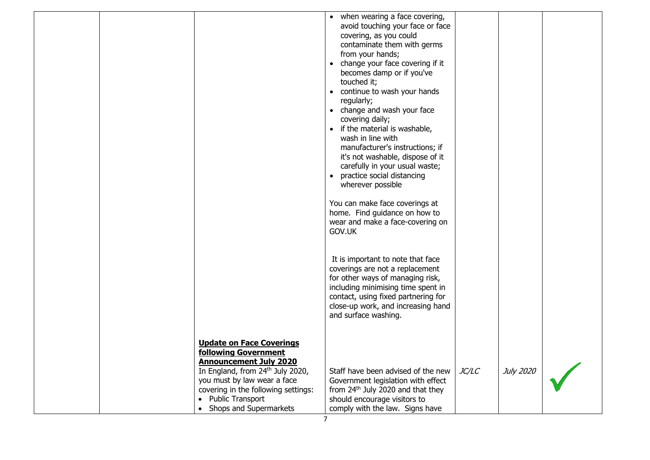|  |                                                                                                                                                                    | • when wearing a face covering,<br>avoid touching your face or face<br>covering, as you could<br>contaminate them with germs<br>from your hands;<br>change your face covering if it<br>$\bullet$<br>becomes damp or if you've<br>touched it;<br>• continue to wash your hands<br>regularly;<br>• change and wash your face<br>covering daily;<br>if the material is washable,<br>$\bullet$<br>wash in line with<br>manufacturer's instructions; if<br>it's not washable, dispose of it<br>carefully in your usual waste;<br>practice social distancing<br>$\bullet$<br>wherever possible<br>You can make face coverings at |              |           |  |
|--|--------------------------------------------------------------------------------------------------------------------------------------------------------------------|----------------------------------------------------------------------------------------------------------------------------------------------------------------------------------------------------------------------------------------------------------------------------------------------------------------------------------------------------------------------------------------------------------------------------------------------------------------------------------------------------------------------------------------------------------------------------------------------------------------------------|--------------|-----------|--|
|  |                                                                                                                                                                    | home. Find guidance on how to<br>wear and make a face-covering on<br>GOV.UK<br>It is important to note that face<br>coverings are not a replacement<br>for other ways of managing risk,<br>including minimising time spent in<br>contact, using fixed partnering for                                                                                                                                                                                                                                                                                                                                                       |              |           |  |
|  | <b>Update on Face Coverings</b><br><b>following Government</b><br><b>Announcement July 2020</b><br>In England, from 24th July 2020,<br>you must by law wear a face | close-up work, and increasing hand<br>and surface washing.<br>Staff have been advised of the new<br>Government legislation with effect                                                                                                                                                                                                                                                                                                                                                                                                                                                                                     | <i>JC/LC</i> | July 2020 |  |
|  | covering in the following settings:<br>• Public Transport<br>Shops and Supermarkets                                                                                | from 24 <sup>th</sup> July 2020 and that they<br>should encourage visitors to<br>comply with the law. Signs have                                                                                                                                                                                                                                                                                                                                                                                                                                                                                                           |              |           |  |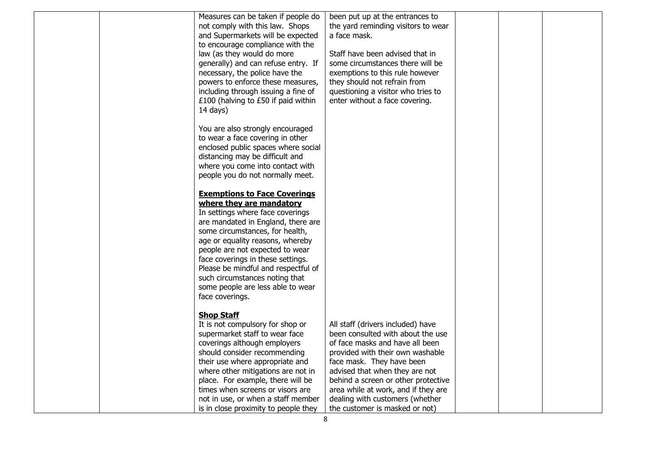|  | Measures can be taken if people do   | been put up at the entrances to     |  |  |
|--|--------------------------------------|-------------------------------------|--|--|
|  | not comply with this law. Shops      | the yard reminding visitors to wear |  |  |
|  | and Supermarkets will be expected    | a face mask.                        |  |  |
|  | to encourage compliance with the     |                                     |  |  |
|  | law (as they would do more           | Staff have been advised that in     |  |  |
|  | generally) and can refuse entry. If  | some circumstances there will be    |  |  |
|  | necessary, the police have the       | exemptions to this rule however     |  |  |
|  | powers to enforce these measures,    | they should not refrain from        |  |  |
|  | including through issuing a fine of  | questioning a visitor who tries to  |  |  |
|  | £100 (halving to £50 if paid within  | enter without a face covering.      |  |  |
|  | $14$ days)                           |                                     |  |  |
|  |                                      |                                     |  |  |
|  | You are also strongly encouraged     |                                     |  |  |
|  | to wear a face covering in other     |                                     |  |  |
|  | enclosed public spaces where social  |                                     |  |  |
|  | distancing may be difficult and      |                                     |  |  |
|  | where you come into contact with     |                                     |  |  |
|  | people you do not normally meet.     |                                     |  |  |
|  |                                      |                                     |  |  |
|  | <b>Exemptions to Face Coverings</b>  |                                     |  |  |
|  | where they are mandatory             |                                     |  |  |
|  | In settings where face coverings     |                                     |  |  |
|  | are mandated in England, there are   |                                     |  |  |
|  | some circumstances, for health,      |                                     |  |  |
|  | age or equality reasons, whereby     |                                     |  |  |
|  | people are not expected to wear      |                                     |  |  |
|  | face coverings in these settings.    |                                     |  |  |
|  | Please be mindful and respectful of  |                                     |  |  |
|  | such circumstances noting that       |                                     |  |  |
|  | some people are less able to wear    |                                     |  |  |
|  | face coverings.                      |                                     |  |  |
|  |                                      |                                     |  |  |
|  | <b>Shop Staff</b>                    |                                     |  |  |
|  | It is not compulsory for shop or     | All staff (drivers included) have   |  |  |
|  | supermarket staff to wear face       | been consulted with about the use   |  |  |
|  | coverings although employers         | of face masks and have all been     |  |  |
|  | should consider recommending         | provided with their own washable    |  |  |
|  | their use where appropriate and      | face mask. They have been           |  |  |
|  | where other mitigations are not in   | advised that when they are not      |  |  |
|  | place. For example, there will be    | behind a screen or other protective |  |  |
|  | times when screens or visors are     | area while at work, and if they are |  |  |
|  | not in use, or when a staff member   | dealing with customers (whether     |  |  |
|  | is in close proximity to people they | the customer is masked or not)      |  |  |
|  | 8                                    |                                     |  |  |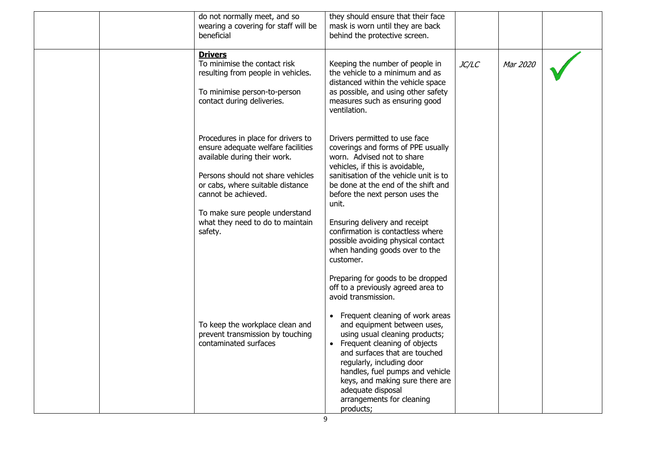| do not normally meet, and so<br>wearing a covering for staff will be<br>beneficial                                                                                                                                                                                                        | they should ensure that their face<br>mask is worn until they are back<br>behind the protective screen.                                                                                                                                                                                                                                                                                                                                   |       |          |  |
|-------------------------------------------------------------------------------------------------------------------------------------------------------------------------------------------------------------------------------------------------------------------------------------------|-------------------------------------------------------------------------------------------------------------------------------------------------------------------------------------------------------------------------------------------------------------------------------------------------------------------------------------------------------------------------------------------------------------------------------------------|-------|----------|--|
| <b>Drivers</b><br>To minimise the contact risk<br>resulting from people in vehicles.<br>To minimise person-to-person<br>contact during deliveries.                                                                                                                                        | Keeping the number of people in<br>the vehicle to a minimum and as<br>distanced within the vehicle space<br>as possible, and using other safety<br>measures such as ensuring good<br>ventilation.                                                                                                                                                                                                                                         | JC/LC | Mar 2020 |  |
| Procedures in place for drivers to<br>ensure adequate welfare facilities<br>available during their work.<br>Persons should not share vehicles<br>or cabs, where suitable distance<br>cannot be achieved.<br>To make sure people understand<br>what they need to do to maintain<br>safety. | Drivers permitted to use face<br>coverings and forms of PPE usually<br>worn. Advised not to share<br>vehicles, if this is avoidable,<br>sanitisation of the vehicle unit is to<br>be done at the end of the shift and<br>before the next person uses the<br>unit.<br>Ensuring delivery and receipt<br>confirmation is contactless where<br>possible avoiding physical contact<br>when handing goods over to the<br>customer.              |       |          |  |
| To keep the workplace clean and<br>prevent transmission by touching<br>contaminated surfaces                                                                                                                                                                                              | Preparing for goods to be dropped<br>off to a previously agreed area to<br>avoid transmission.<br>• Frequent cleaning of work areas<br>and equipment between uses,<br>using usual cleaning products;<br>• Frequent cleaning of objects<br>and surfaces that are touched<br>regularly, including door<br>handles, fuel pumps and vehicle<br>keys, and making sure there are<br>adequate disposal<br>arrangements for cleaning<br>products; |       |          |  |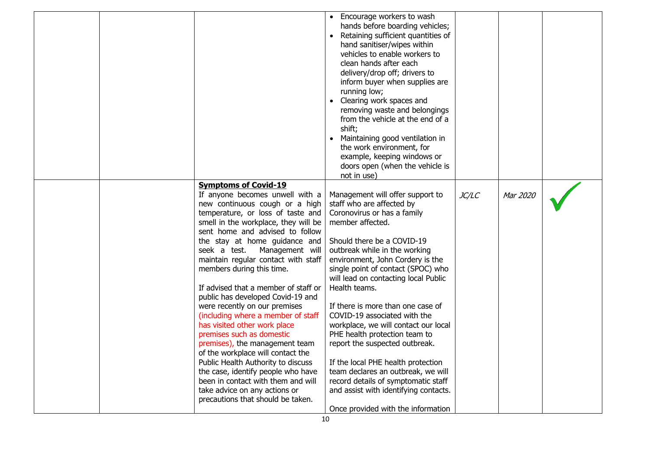|                                                                                                                                                                                                                                                                                                                                                                                                                                                                                                                                                                                                                                                                                                                                                                                                                                          | • Encourage workers to wash<br>hands before boarding vehicles;<br>Retaining sufficient quantities of<br>hand sanitiser/wipes within<br>vehicles to enable workers to<br>clean hands after each<br>delivery/drop off; drivers to<br>inform buyer when supplies are<br>running low;<br>• Clearing work spaces and<br>removing waste and belongings<br>from the vehicle at the end of a<br>shift;<br>Maintaining good ventilation in<br>$\bullet$<br>the work environment, for<br>example, keeping windows or<br>doors open (when the vehicle is                                                                                                                                                                       |              |          |  |
|------------------------------------------------------------------------------------------------------------------------------------------------------------------------------------------------------------------------------------------------------------------------------------------------------------------------------------------------------------------------------------------------------------------------------------------------------------------------------------------------------------------------------------------------------------------------------------------------------------------------------------------------------------------------------------------------------------------------------------------------------------------------------------------------------------------------------------------|---------------------------------------------------------------------------------------------------------------------------------------------------------------------------------------------------------------------------------------------------------------------------------------------------------------------------------------------------------------------------------------------------------------------------------------------------------------------------------------------------------------------------------------------------------------------------------------------------------------------------------------------------------------------------------------------------------------------|--------------|----------|--|
| <b>Symptoms of Covid-19</b><br>If anyone becomes unwell with a<br>new continuous cough or a high<br>temperature, or loss of taste and<br>smell in the workplace, they will be<br>sent home and advised to follow<br>the stay at home guidance and<br>seek a test.<br>Management will<br>maintain regular contact with staff<br>members during this time.<br>If advised that a member of staff or<br>public has developed Covid-19 and<br>were recently on our premises<br>(including where a member of staff<br>has visited other work place<br>premises such as domestic<br>premises), the management team<br>of the workplace will contact the<br>Public Health Authority to discuss<br>the case, identify people who have<br>been in contact with them and will<br>take advice on any actions or<br>precautions that should be taken. | not in use)<br>Management will offer support to<br>staff who are affected by<br>Coronovirus or has a family<br>member affected.<br>Should there be a COVID-19<br>outbreak while in the working<br>environment, John Cordery is the<br>single point of contact (SPOC) who<br>will lead on contacting local Public<br>Health teams.<br>If there is more than one case of<br>COVID-19 associated with the<br>workplace, we will contact our local<br>PHE health protection team to<br>report the suspected outbreak.<br>If the local PHE health protection<br>team declares an outbreak, we will<br>record details of symptomatic staff<br>and assist with identifying contacts.<br>Once provided with the information | <i>JC/LC</i> | Mar 2020 |  |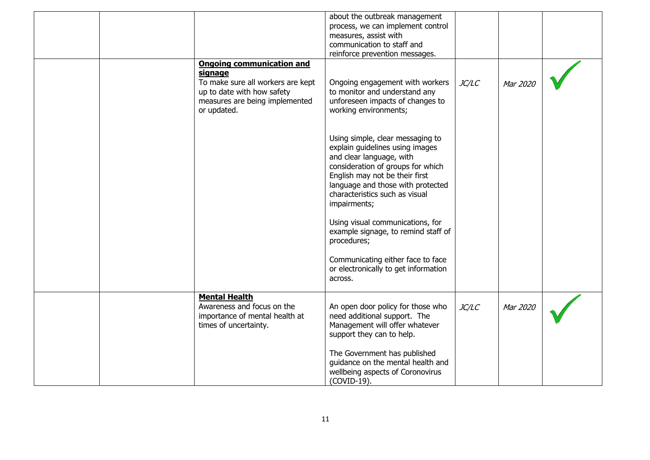|  |                                                                                                                                                                 | about the outbreak management<br>process, we can implement control<br>measures, assist with<br>communication to staff and<br>reinforce prevention messages.                                                                                                   |              |          |  |
|--|-----------------------------------------------------------------------------------------------------------------------------------------------------------------|---------------------------------------------------------------------------------------------------------------------------------------------------------------------------------------------------------------------------------------------------------------|--------------|----------|--|
|  | <b>Ongoing communication and</b><br>signage<br>To make sure all workers are kept<br>up to date with how safety<br>measures are being implemented<br>or updated. | Ongoing engagement with workers<br>to monitor and understand any<br>unforeseen impacts of changes to<br>working environments;                                                                                                                                 | JC/LC        | Mar 2020 |  |
|  |                                                                                                                                                                 | Using simple, clear messaging to<br>explain guidelines using images<br>and clear language, with<br>consideration of groups for which<br>English may not be their first<br>language and those with protected<br>characteristics such as visual<br>impairments; |              |          |  |
|  |                                                                                                                                                                 | Using visual communications, for<br>example signage, to remind staff of<br>procedures;                                                                                                                                                                        |              |          |  |
|  |                                                                                                                                                                 | Communicating either face to face<br>or electronically to get information<br>across.                                                                                                                                                                          |              |          |  |
|  | <b>Mental Health</b><br>Awareness and focus on the<br>importance of mental health at<br>times of uncertainty.                                                   | An open door policy for those who<br>need additional support. The<br>Management will offer whatever<br>support they can to help.                                                                                                                              | <i>JC/LC</i> | Mar 2020 |  |
|  |                                                                                                                                                                 | The Government has published<br>guidance on the mental health and<br>wellbeing aspects of Coronovirus<br>(COVID-19).                                                                                                                                          |              |          |  |